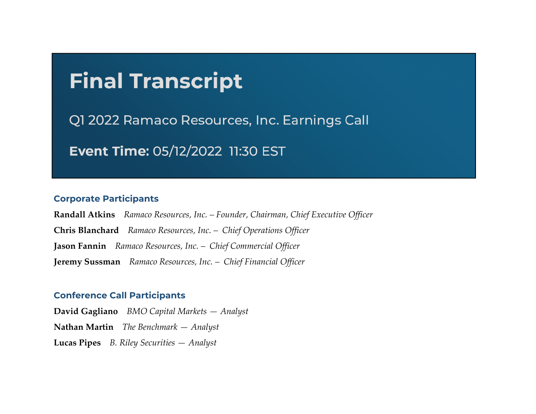# **Final Transcript**

Q1 2022 Ramaco Resources, Inc. Earnings Call

Event Time: 05/12/2022 11:30 EST

#### **Corporate Participants**

**Randall Atkins** *Ramaco Resources, Inc. – Founder, Chairman, Chief Executive Officer* **Chris Blanchard** *Ramaco Resources, Inc. – Chief Operations Officer* **Jason Fannin** *Ramaco Resources, Inc. – Chief Commercial Officer* **Jeremy Sussman** *Ramaco Resources, Inc. – Chief Financial Officer*

#### **Conference Call Participants**

**Lucas Pipes** *B. Riley Securities — Analyst* **David Gagliano** *BMO Capital Markets — Analyst* **Nathan Martin** *The Benchmark — Analyst*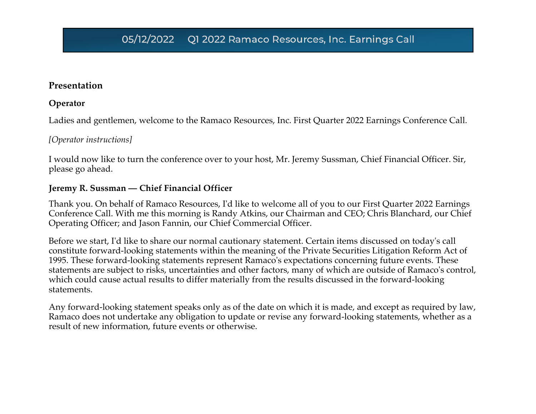#### **Presentation**

#### **Operator**

Ladies and gentlemen, welcome to the Ramaco Resources, Inc. First Quarter 2022 Earnings Conference Call.

#### *[Operator instructions]*

I would now like to turn the conference over to your host, Mr. Jeremy Sussman, Chief Financial Officer. Sir, please go ahead.

#### **Jeremy R. Sussman — Chief Financial Officer**

Thank you. On behalf of Ramaco Resources, I'd like to welcome all of you to our First Quarter 2022 Earnings Conference Call. With me this morning is Randy Atkins, our Chairman and CEO; Chris Blanchard, our Chief Operating Officer; and Jason Fannin, our Chief Commercial Officer.

Before we start, I'd like to share our normal cautionary statement. Certain items discussed on today's call constitute forward-looking statements within the meaning of the Private Securities Litigation Reform Act of 1995. These forward-looking statements represent Ramaco's expectations concerning future events. These statements are subject to risks, uncertainties and other factors, many of which are outside of Ramaco's control, which could cause actual results to differ materially from the results discussed in the forward-looking statements.

Any forward-looking statement speaks only as of the date on which it is made, and except as required by law, Ramaco does not undertake any obligation to update or revise any forward-looking statements, whether as a result of new information, future events or otherwise.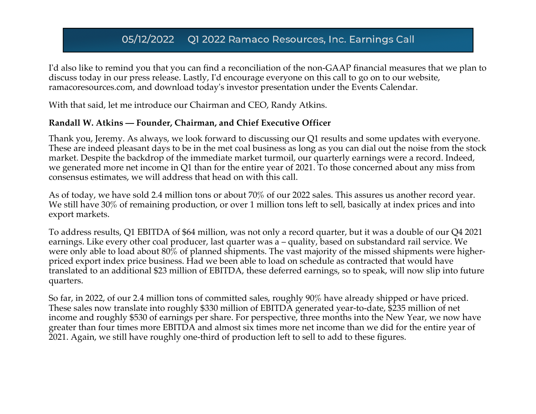I'd also like to remind you that you can find a reconciliation of the non-GAAP financial measures that we plan to discuss today in our press release. Lastly, I'd encourage everyone on this call to go on to our website, ramacoresources.com, and download today's investor presentation under the Events Calendar.

With that said, let me introduce our Chairman and CEO, Randy Atkins.

#### **Randall W. Atkins — Founder, Chairman, and Chief Executive Officer**

Thank you, Jeremy. As always, we look forward to discussing our Q1 results and some updates with everyone. These are indeed pleasant days to be in the met coal business as long as you can dial out the noise from the stock market. Despite the backdrop of the immediate market turmoil, our quarterly earnings were a record. Indeed, we generated more net income in Q1 than for the entire year of 2021. To those concerned about any miss from consensus estimates, we will address that head on with this call.

As of today, we have sold 2.4 million tons or about 70% of our 2022 sales. This assures us another record year. We still have 30% of remaining production, or over 1 million tons left to sell, basically at index prices and into export markets.

To address results, Q1 EBITDA of \$64 million, was not only a record quarter, but it was a double of our Q4 2021 earnings. Like every other coal producer, last quarter was a – quality, based on substandard rail service. We were only able to load about 80% of planned shipments. The vast majority of the missed shipments were higherpriced export index price business. Had we been able to load on schedule as contracted that would have translated to an additional \$23 million of EBITDA, these deferred earnings, so to speak, will now slip into future quarters.

So far, in 2022, of our 2.4 million tons of committed sales, roughly 90% have already shipped or have priced. These sales now translate into roughly \$330 million of EBITDA generated year-to-date, \$235 million of net income and roughly \$530 of earnings per share. For perspective, three months into the New Year, we now have greater than four times more EBITDA and almost six times more net income than we did for the entire year of 2021. Again, we still have roughly one-third of production left to sell to add to these figures.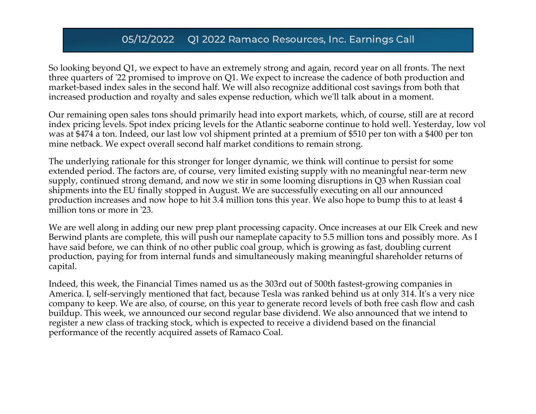So looking beyond Q1, we expect to have an extremely strong and again, record year on all fronts. The next three quarters of '22 promised to improve on Q1. We expect to increase the cadence of both production and market-based index sales in the second half. We will also recognize additional cost savings from both that increased production and royalty and sales expense reduction, which we'll talk about in a moment.

Our remaining open sales tons should primarily head into export markets, which, of course, still are at record index pricing levels. Spot index pricing levels for the Atlantic seaborne continue to hold well. Yesterday, low vol was at \$474 a ton. Indeed, our last low vol shipment printed at a premium of \$510 per ton with a \$400 per ton mine netback. We expect overall second half market conditions to remain strong.

The underlying rationale for this stronger for longer dynamic, we think will continue to persist for some extended period. The factors are, of course, very limited existing supply with no meaningful near-term new supply, continued strong demand, and now we stir in some looming disruptions in Q3 when Russian coal shipments into the EU finally stopped in August. We are successfully executing on all our announced production increases and now hope to hit 3.4 million tons this year. We also hope to bump this to at least 4 million tons or more in '23.

We are well along in adding our new prep plant processing capacity. Once increases at our Elk Creek and new Berwind plants are complete, this will push our nameplate capacity to 5.5 million tons and possibly more. As I have said before, we can think of no other public coal group, which is growing as fast, doubling current production, paying for from internal funds and simultaneously making meaningful shareholder returns of capital.

Indeed, this week, the Financial Times named us as the 303rd out of 500th fastest-growing companies in America. I, self-servingly mentioned that fact, because Tesla was ranked behind us at only 314. It's a very nice company to keep. We are also, of course, on this year to generate record levels of both free cash flow and cash buildup. This week, we announced our second regular base dividend. We also announced that we intend to register a new class of tracking stock, which is expected to receive a dividend based on the financial performance of the recently acquired assets of Ramaco Coal.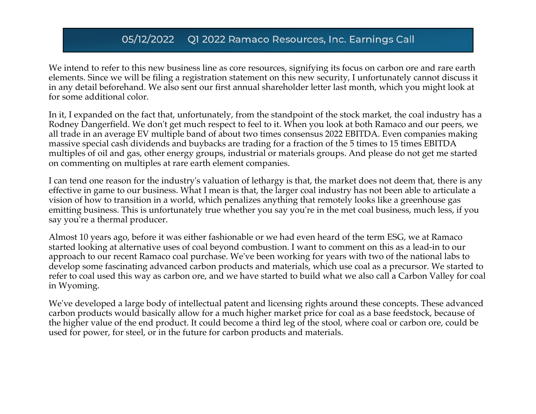We intend to refer to this new business line as core resources, signifying its focus on carbon ore and rare earth elements. Since we will be filing a registration statement on this new security, I unfortunately cannot discuss it in any detail beforehand. We also sent our first annual shareholder letter last month, which you might look at for some additional color.

In it, I expanded on the fact that, unfortunately, from the standpoint of the stock market, the coal industry has a Rodney Dangerfield. We don't get much respect to feel to it. When you look at both Ramaco and our peers, we all trade in an average EV multiple band of about two times consensus 2022 EBITDA. Even companies making massive special cash dividends and buybacks are trading for a fraction of the 5 times to 15 times EBITDA multiples of oil and gas, other energy groups, industrial or materials groups. And please do not get me started on commenting on multiples at rare earth element companies.

I can tend one reason for the industry's valuation of lethargy is that, the market does not deem that, there is any effective in game to our business. What I mean is that, the larger coal industry has not been able to articulate a vision of how to transition in a world, which penalizes anything that remotely looks like a greenhouse gas emitting business. This is unfortunately true whether you say you're in the met coal business, much less, if you say you're a thermal producer.

Almost 10 years ago, before it was either fashionable or we had even heard of the term ESG, we at Ramaco started looking at alternative uses of coal beyond combustion. I want to comment on this as a lead-in to our approach to our recent Ramaco coal purchase. We've been working for years with two of the national labs to develop some fascinating advanced carbon products and materials, which use coal as a precursor. We started to refer to coal used this way as carbon ore, and we have started to build what we also call a Carbon Valley for coal in Wyoming.

We've developed a large body of intellectual patent and licensing rights around these concepts. These advanced carbon products would basically allow for a much higher market price for coal as a base feedstock, because of the higher value of the end product. It could become a third leg of the stool, where coal or carbon ore, could be used for power, for steel, or in the future for carbon products and materials.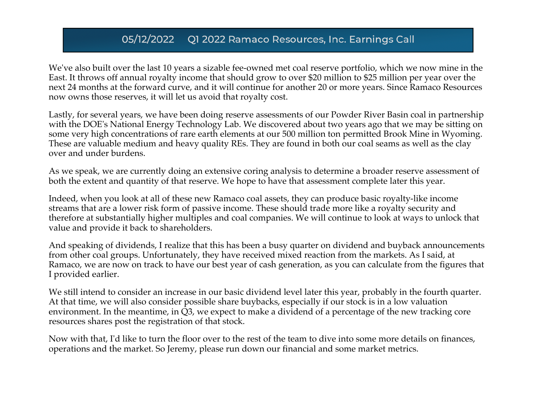We've also built over the last 10 years a sizable fee-owned met coal reserve portfolio, which we now mine in the East. It throws off annual royalty income that should grow to over \$20 million to \$25 million per year over the next 24 months at the forward curve, and it will continue for another 20 or more years. Since Ramaco Resources now owns those reserves, it will let us avoid that royalty cost.

Lastly, for several years, we have been doing reserve assessments of our Powder River Basin coal in partnership with the DOE's National Energy Technology Lab. We discovered about two years ago that we may be sitting on some very high concentrations of rare earth elements at our 500 million ton permitted Brook Mine in Wyoming. These are valuable medium and heavy quality REs. They are found in both our coal seams as well as the clay over and under burdens.

As we speak, we are currently doing an extensive coring analysis to determine a broader reserve assessment of both the extent and quantity of that reserve. We hope to have that assessment complete later this year.

Indeed, when you look at all of these new Ramaco coal assets, they can produce basic royalty-like income streams that are a lower risk form of passive income. These should trade more like a royalty security and therefore at substantially higher multiples and coal companies. We will continue to look at ways to unlock that value and provide it back to shareholders.

And speaking of dividends, I realize that this has been a busy quarter on dividend and buyback announcements from other coal groups. Unfortunately, they have received mixed reaction from the markets. As I said, at Ramaco, we are now on track to have our best year of cash generation, as you can calculate from the figures that I provided earlier.

We still intend to consider an increase in our basic dividend level later this year, probably in the fourth quarter. At that time, we will also consider possible share buybacks, especially if our stock is in a low valuation environment. In the meantime, in Q3, we expect to make a dividend of a percentage of the new tracking core resources shares post the registration of that stock.

Now with that, I'd like to turn the floor over to the rest of the team to dive into some more details on finances, operations and the market. So Jeremy, please run down our financial and some market metrics.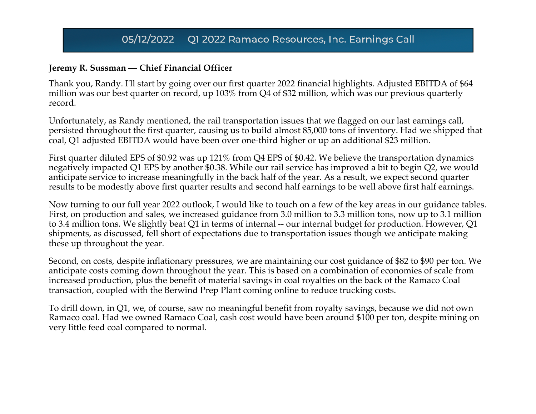#### **Jeremy R. Sussman — Chief Financial Officer**

Thank you, Randy. I'll start by going over our first quarter 2022 financial highlights. Adjusted EBITDA of \$64 million was our best quarter on record, up 103% from Q4 of \$32 million, which was our previous quarterly record.

Unfortunately, as Randy mentioned, the rail transportation issues that we flagged on our last earnings call, persisted throughout the first quarter, causing us to build almost 85,000 tons of inventory. Had we shipped that coal, Q1 adjusted EBITDA would have been over one-third higher or up an additional \$23 million.

First quarter diluted EPS of \$0.92 was up 121% from Q4 EPS of \$0.42. We believe the transportation dynamics negatively impacted Q1 EPS by another \$0.38. While our rail service has improved a bit to begin Q2, we would anticipate service to increase meaningfully in the back half of the year. As a result, we expect second quarter results to be modestly above first quarter results and second half earnings to be well above first half earnings.

Now turning to our full year 2022 outlook, I would like to touch on a few of the key areas in our guidance tables. First, on production and sales, we increased guidance from 3.0 million to 3.3 million tons, now up to 3.1 million to 3.4 million tons. We slightly beat Q1 in terms of internal -- our internal budget for production. However, Q1 shipments, as discussed, fell short of expectations due to transportation issues though we anticipate making these up throughout the year.

Second, on costs, despite inflationary pressures, we are maintaining our cost guidance of \$82 to \$90 per ton. We anticipate costs coming down throughout the year. This is based on a combination of economies of scale from increased production, plus the benefit of material savings in coal royalties on the back of the Ramaco Coal transaction, coupled with the Berwind Prep Plant coming online to reduce trucking costs.

To drill down, in Q1, we, of course, saw no meaningful benefit from royalty savings, because we did not own Ramaco coal. Had we owned Ramaco Coal, cash cost would have been around \$100 per ton, despite mining on very little feed coal compared to normal.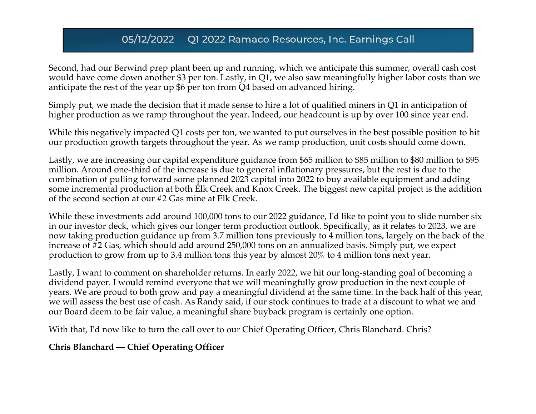Second, had our Berwind prep plant been up and running, which we anticipate this summer, overall cash cost would have come down another \$3 per ton. Lastly, in Q1, we also saw meaningfully higher labor costs than we anticipate the rest of the year up \$6 per ton from Q4 based on advanced hiring.

Simply put, we made the decision that it made sense to hire a lot of qualified miners in Q1 in anticipation of higher production as we ramp throughout the year. Indeed, our headcount is up by over 100 since year end.

While this negatively impacted Q1 costs per ton, we wanted to put ourselves in the best possible position to hit our production growth targets throughout the year. As we ramp production, unit costs should come down.

Lastly, we are increasing our capital expenditure guidance from \$65 million to \$85 million to \$80 million to \$95 million. Around one-third of the increase is due to general inflationary pressures, but the rest is due to the combination of pulling forward some planned 2023 capital into 2022 to buy available equipment and adding some incremental production at both Elk Creek and Knox Creek. The biggest new capital project is the addition of the second section at our #2 Gas mine at Elk Creek.

While these investments add around 100,000 tons to our 2022 guidance, I'd like to point you to slide number six in our investor deck, which gives our longer term production outlook. Specifically, as it relates to 2023, we are now taking production guidance up from 3.7 million tons previously to 4 million tons, largely on the back of the increase of #2 Gas, which should add around 250,000 tons on an annualized basis. Simply put, we expect production to grow from up to 3.4 million tons this year by almost 20% to 4 million tons next year.

Lastly, I want to comment on shareholder returns. In early 2022, we hit our long-standing goal of becoming a dividend payer. I would remind everyone that we will meaningfully grow production in the next couple of years. We are proud to both grow and pay a meaningful dividend at the same time. In the back half of this year, we will assess the best use of cash. As Randy said, if our stock continues to trade at a discount to what we and our Board deem to be fair value, a meaningful share buyback program is certainly one option.

With that, I'd now like to turn the call over to our Chief Operating Officer, Chris Blanchard. Chris?

#### **Chris Blanchard — Chief Operating Officer**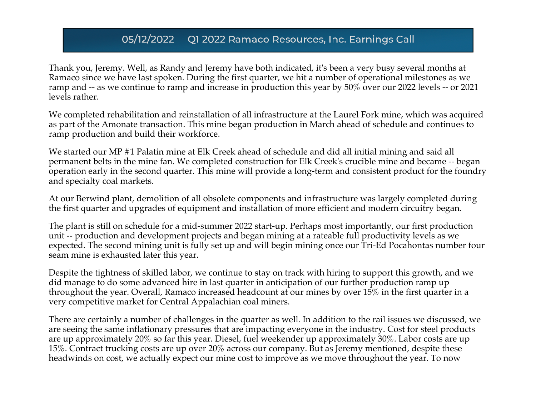Thank you, Jeremy. Well, as Randy and Jeremy have both indicated, it's been a very busy several months at Ramaco since we have last spoken. During the first quarter, we hit a number of operational milestones as we ramp and -- as we continue to ramp and increase in production this year by 50% over our 2022 levels -- or 2021 levels rather.

We completed rehabilitation and reinstallation of all infrastructure at the Laurel Fork mine, which was acquired as part of the Amonate transaction. This mine began production in March ahead of schedule and continues to ramp production and build their workforce.

We started our MP #1 Palatin mine at Elk Creek ahead of schedule and did all initial mining and said all permanent belts in the mine fan. We completed construction for Elk Creek's crucible mine and became -- began operation early in the second quarter. This mine will provide a long-term and consistent product for the foundry and specialty coal markets.

At our Berwind plant, demolition of all obsolete components and infrastructure was largely completed during the first quarter and upgrades of equipment and installation of more efficient and modern circuitry began.

The plant is still on schedule for a mid-summer 2022 start-up. Perhaps most importantly, our first production unit -- production and development projects and began mining at a rateable full productivity levels as we expected. The second mining unit is fully set up and will begin mining once our Tri-Ed Pocahontas number four seam mine is exhausted later this year.

Despite the tightness of skilled labor, we continue to stay on track with hiring to support this growth, and we did manage to do some advanced hire in last quarter in anticipation of our further production ramp up throughout the year. Overall, Ramaco increased headcount at our mines by over 15% in the first quarter in a very competitive market for Central Appalachian coal miners.

There are certainly a number of challenges in the quarter as well. In addition to the rail issues we discussed, we are seeing the same inflationary pressures that are impacting everyone in the industry. Cost for steel products are up approximately 20% so far this year. Diesel, fuel weekender up approximately 30%. Labor costs are up 15%. Contract trucking costs are up over 20% across our company. But as Jeremy mentioned, despite these headwinds on cost, we actually expect our mine cost to improve as we move throughout the year. To now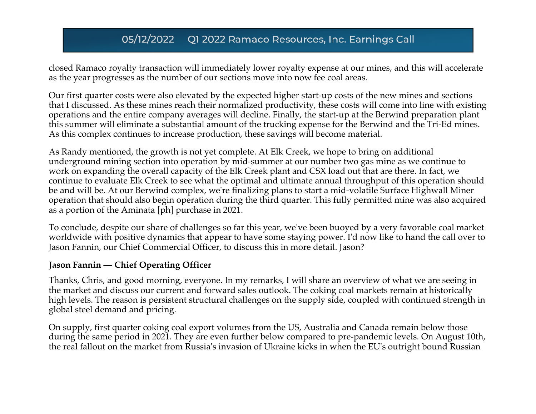closed Ramaco royalty transaction will immediately lower royalty expense at our mines, and this will accelerate as the year progresses as the number of our sections move into now fee coal areas.

Our first quarter costs were also elevated by the expected higher start-up costs of the new mines and sections that I discussed. As these mines reach their normalized productivity, these costs will come into line with existing operations and the entire company averages will decline. Finally, the start-up at the Berwind preparation plant this summer will eliminate a substantial amount of the trucking expense for the Berwind and the Tri-Ed mines. As this complex continues to increase production, these savings will become material.

As Randy mentioned, the growth is not yet complete. At Elk Creek, we hope to bring on additional underground mining section into operation by mid-summer at our number two gas mine as we continue to work on expanding the overall capacity of the Elk Creek plant and CSX load out that are there. In fact, we continue to evaluate Elk Creek to see what the optimal and ultimate annual throughput of this operation should be and will be. At our Berwind complex, we're finalizing plans to start a mid-volatile Surface Highwall Miner operation that should also begin operation during the third quarter. This fully permitted mine was also acquired as a portion of the Aminata [ph] purchase in 2021.

To conclude, despite our share of challenges so far this year, we've been buoyed by a very favorable coal market worldwide with positive dynamics that appear to have some staying power. I'd now like to hand the call over to Jason Fannin, our Chief Commercial Officer, to discuss this in more detail. Jason?

#### **Jason Fannin — Chief Operating Officer**

Thanks, Chris, and good morning, everyone. In my remarks, I will share an overview of what we are seeing in the market and discuss our current and forward sales outlook. The coking coal markets remain at historically high levels. The reason is persistent structural challenges on the supply side, coupled with continued strength in global steel demand and pricing.

On supply, first quarter coking coal export volumes from the US, Australia and Canada remain below those during the same period in 2021. They are even further below compared to pre-pandemic levels. On August 10th, the real fallout on the market from Russia's invasion of Ukraine kicks in when the EU's outright bound Russian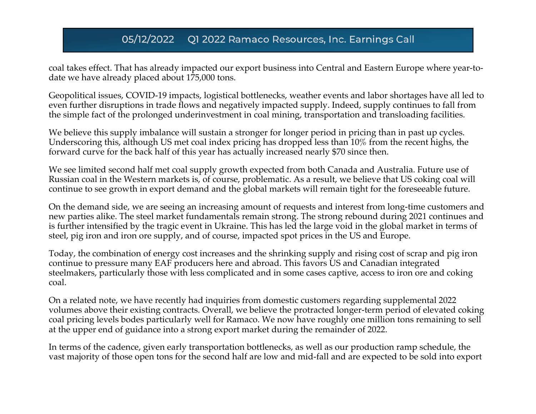coal takes effect. That has already impacted our export business into Central and Eastern Europe where year-todate we have already placed about 175,000 tons.

Geopolitical issues, COVID-19 impacts, logistical bottlenecks, weather events and labor shortages have all led to even further disruptions in trade flows and negatively impacted supply. Indeed, supply continues to fall from the simple fact of the prolonged underinvestment in coal mining, transportation and transloading facilities.

We believe this supply imbalance will sustain a stronger for longer period in pricing than in past up cycles. Underscoring this, although US met coal index pricing has dropped less than 10% from the recent highs, the forward curve for the back half of this year has actually increased nearly \$70 since then.

We see limited second half met coal supply growth expected from both Canada and Australia. Future use of Russian coal in the Western markets is, of course, problematic. As a result, we believe that US coking coal will continue to see growth in export demand and the global markets will remain tight for the foreseeable future.

On the demand side, we are seeing an increasing amount of requests and interest from long-time customers and new parties alike. The steel market fundamentals remain strong. The strong rebound during 2021 continues and is further intensified by the tragic event in Ukraine. This has led the large void in the global market in terms of steel, pig iron and iron ore supply, and of course, impacted spot prices in the US and Europe.

Today, the combination of energy cost increases and the shrinking supply and rising cost of scrap and pig iron continue to pressure many EAF producers here and abroad. This favors US and Canadian integrated steelmakers, particularly those with less complicated and in some cases captive, access to iron ore and coking coal.

On a related note, we have recently had inquiries from domestic customers regarding supplemental 2022 volumes above their existing contracts. Overall, we believe the protracted longer-term period of elevated coking coal pricing levels bodes particularly well for Ramaco. We now have roughly one million tons remaining to sell at the upper end of guidance into a strong export market during the remainder of 2022.

In terms of the cadence, given early transportation bottlenecks, as well as our production ramp schedule, the vast majority of those open tons for the second half are low and mid-fall and are expected to be sold into export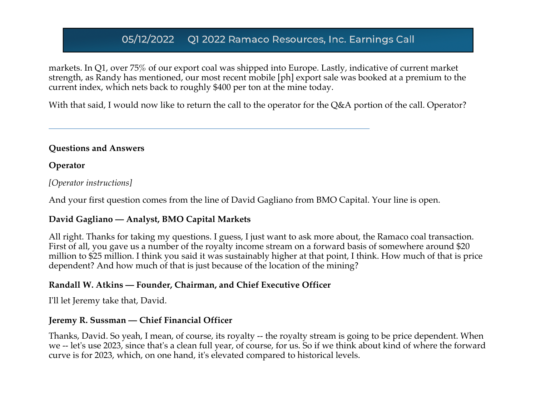markets. In Q1, over 75% of our export coal was shipped into Europe. Lastly, indicative of current market strength, as Randy has mentioned, our most recent mobile [ph] export sale was booked at a premium to the current index, which nets back to roughly \$400 per ton at the mine today.

With that said, I would now like to return the call to the operator for the Q&A portion of the call. Operator?

#### **Questions and Answers**

#### **Operator**

#### *[Operator instructions]*

And your first question comes from the line of David Gagliano from BMO Capital. Your line is open.

#### **David Gagliano — Analyst, BMO Capital Markets**

All right. Thanks for taking my questions. I guess, I just want to ask more about, the Ramaco coal transaction. First of all, you gave us a number of the royalty income stream on a forward basis of somewhere around \$20 million to \$25 million. I think you said it was sustainably higher at that point, I think. How much of that is price dependent? And how much of that is just because of the location of the mining?

#### **Randall W. Atkins — Founder, Chairman, and Chief Executive Officer**

I'll let Jeremy take that, David.

#### **Jeremy R. Sussman — Chief Financial Officer**

Thanks, David. So yeah, I mean, of course, its royalty -- the royalty stream is going to be price dependent. When we -- let's use 2023, since that's a clean full year, of course, for us. So if we think about kind of where the forward curve is for 2023, which, on one hand, it's elevated compared to historical levels.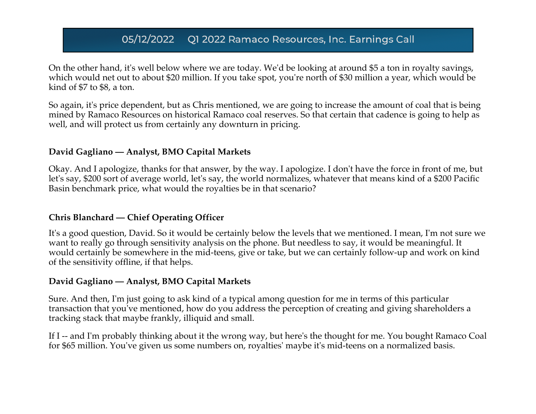On the other hand, it's well below where we are today. We'd be looking at around \$5 a ton in royalty savings, which would net out to about \$20 million. If you take spot, you're north of \$30 million a year, which would be kind of \$7 to \$8, a ton.

So again, it's price dependent, but as Chris mentioned, we are going to increase the amount of coal that is being mined by Ramaco Resources on historical Ramaco coal reserves. So that certain that cadence is going to help as well, and will protect us from certainly any downturn in pricing.

#### **David Gagliano — Analyst, BMO Capital Markets**

Okay. And I apologize, thanks for that answer, by the way. I apologize. I don't have the force in front of me, but let's say, \$200 sort of average world, let's say, the world normalizes, whatever that means kind of a \$200 Pacific Basin benchmark price, what would the royalties be in that scenario?

#### **Chris Blanchard — Chief Operating Officer**

It's a good question, David. So it would be certainly below the levels that we mentioned. I mean, I'm not sure we want to really go through sensitivity analysis on the phone. But needless to say, it would be meaningful. It would certainly be somewhere in the mid-teens, give or take, but we can certainly follow-up and work on kind of the sensitivity offline, if that helps.

#### **David Gagliano — Analyst, BMO Capital Markets**

Sure. And then, I'm just going to ask kind of a typical among question for me in terms of this particular transaction that you've mentioned, how do you address the perception of creating and giving shareholders a tracking stack that maybe frankly, illiquid and small.

If I -- and I'm probably thinking about it the wrong way, but here's the thought for me. You bought Ramaco Coal for \$65 million. You've given us some numbers on, royalties' maybe it's mid-teens on a normalized basis.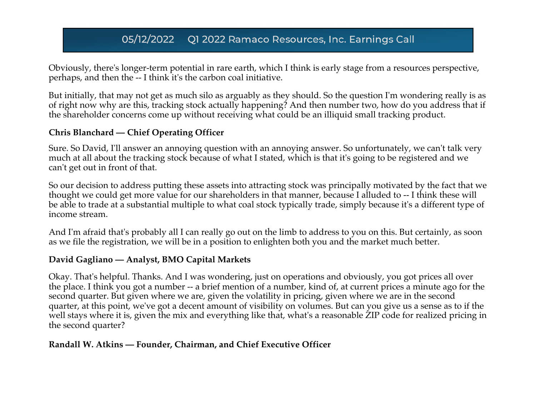Obviously, there's longer-term potential in rare earth, which I think is early stage from a resources perspective, perhaps, and then the -- I think it's the carbon coal initiative.

But initially, that may not get as much silo as arguably as they should. So the question I'm wondering really is as of right now why are this, tracking stock actually happening? And then number two, how do you address that if the shareholder concerns come up without receiving what could be an illiquid small tracking product.

#### **Chris Blanchard — Chief Operating Officer**

Sure. So David, I'll answer an annoying question with an annoying answer. So unfortunately, we can't talk very much at all about the tracking stock because of what I stated, which is that it's going to be registered and we can't get out in front of that.

So our decision to address putting these assets into attracting stock was principally motivated by the fact that we thought we could get more value for our shareholders in that manner, because I alluded to -- I think these will be able to trade at a substantial multiple to what coal stock typically trade, simply because it's a different type of income stream.

And I'm afraid that's probably all I can really go out on the limb to address to you on this. But certainly, as soon as we file the registration, we will be in a position to enlighten both you and the market much better.

#### **David Gagliano — Analyst, BMO Capital Markets**

Okay. That's helpful. Thanks. And I was wondering, just on operations and obviously, you got prices all over the place. I think you got a number -- a brief mention of a number, kind of, at current prices a minute ago for the second quarter. But given where we are, given the volatility in pricing, given where we are in the second quarter, at this point, we've got a decent amount of visibility on volumes. But can you give us a sense as to if the well stays where it is, given the mix and everything like that, what's a reasonable ZIP code for realized pricing in the second quarter?

#### **Randall W. Atkins — Founder, Chairman, and Chief Executive Officer**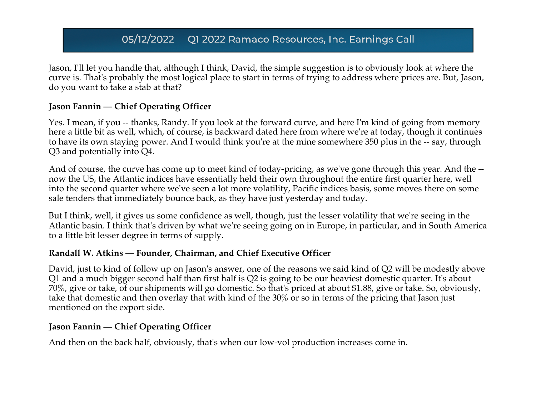Jason, I'll let you handle that, although I think, David, the simple suggestion is to obviously look at where the curve is. That's probably the most logical place to start in terms of trying to address where prices are. But, Jason, do you want to take a stab at that?

#### **Jason Fannin — Chief Operating Officer**

Yes. I mean, if you -- thanks, Randy. If you look at the forward curve, and here I'm kind of going from memory here a little bit as well, which, of course, is backward dated here from where we're at today, though it continues to have its own staying power. And I would think you're at the mine somewhere 350 plus in the -- say, through Q3 and potentially into Q4.

And of course, the curve has come up to meet kind of today-pricing, as we've gone through this year. And the - now the US, the Atlantic indices have essentially held their own throughout the entire first quarter here, well into the second quarter where we've seen a lot more volatility, Pacific indices basis, some moves there on some sale tenders that immediately bounce back, as they have just yesterday and today.

But I think, well, it gives us some confidence as well, though, just the lesser volatility that we're seeing in the Atlantic basin. I think that's driven by what we're seeing going on in Europe, in particular, and in South America to a little bit lesser degree in terms of supply.

#### **Randall W. Atkins — Founder, Chairman, and Chief Executive Officer**

David, just to kind of follow up on Jason's answer, one of the reasons we said kind of Q2 will be modestly above Q1 and a much bigger second half than first half is Q2 is going to be our heaviest domestic quarter. It's about 70%, give or take, of our shipments will go domestic. So that's priced at about \$1.88, give or take. So, obviously, take that domestic and then overlay that with kind of the 30% or so in terms of the pricing that Jason just mentioned on the export side.

#### **Jason Fannin — Chief Operating Officer**

And then on the back half, obviously, that's when our low-vol production increases come in.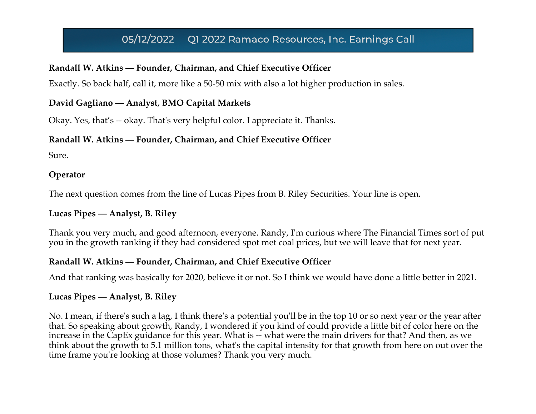#### **Randall W. Atkins — Founder, Chairman, and Chief Executive Officer**

Exactly. So back half, call it, more like a 50-50 mix with also a lot higher production in sales.

#### **David Gagliano — Analyst, BMO Capital Markets**

Okay. Yes, that's -- okay. That's very helpful color. I appreciate it. Thanks.

#### **Randall W. Atkins — Founder, Chairman, and Chief Executive Officer**

Sure.

#### **Operator**

The next question comes from the line of Lucas Pipes from B. Riley Securities. Your line is open.

### **Lucas Pipes — Analyst, B. Riley**

Thank you very much, and good afternoon, everyone. Randy, I'm curious where The Financial Times sort of put you in the growth ranking if they had considered spot met coal prices, but we will leave that for next year.

### **Randall W. Atkins — Founder, Chairman, and Chief Executive Officer**

And that ranking was basically for 2020, believe it or not. So I think we would have done a little better in 2021.

#### **Lucas Pipes — Analyst, B. Riley**

No. I mean, if there's such a lag, I think there's a potential you'll be in the top 10 or so next year or the year after that. So speaking about growth, Randy, I wondered if you kind of could provide a little bit of color here on the increase in the CapEx guidance for this year. What is -- what were the main drivers for that? And then, as we think about the growth to 5.1 million tons, what's the capital intensity for that growth from here on out over the time frame you're looking at those volumes? Thank you very much.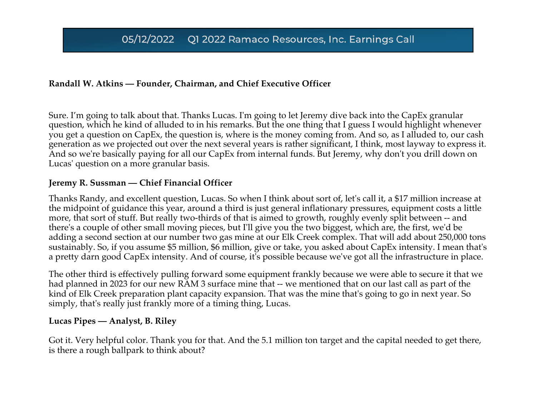#### **Randall W. Atkins — Founder, Chairman, and Chief Executive Officer**

Sure. I'm going to talk about that. Thanks Lucas. I'm going to let Jeremy dive back into the CapEx granular question, which he kind of alluded to in his remarks. But the one thing that I guess I would highlight whenever you get a question on CapEx, the question is, where is the money coming from. And so, as I alluded to, our cash generation as we projected out over the next several years is rather significant, I think, most layway to express it. And so we're basically paying for all our CapEx from internal funds. But Jeremy, why don't you drill down on Lucas' question on a more granular basis.

#### **Jeremy R. Sussman — Chief Financial Officer**

Thanks Randy, and excellent question, Lucas. So when I think about sort of, let's call it, a \$17 million increase at the midpoint of guidance this year, around a third is just general inflationary pressures, equipment costs a little more, that sort of stuff. But really two-thirds of that is aimed to growth, roughly evenly split between -- and there's a couple of other small moving pieces, but I'll give you the two biggest, which are, the first, we'd be adding a second section at our number two gas mine at our Elk Creek complex. That will add about 250,000 tons sustainably. So, if you assume \$5 million, \$6 million, give or take, you asked about CapEx intensity. I mean that's a pretty darn good CapEx intensity. And of course, it's possible because we've got all the infrastructure in place.

The other third is effectively pulling forward some equipment frankly because we were able to secure it that we had planned in 2023 for our new RAM 3 surface mine that -- we mentioned that on our last call as part of the kind of Elk Creek preparation plant capacity expansion. That was the mine that's going to go in next year. So simply, that's really just frankly more of a timing thing, Lucas.

#### **Lucas Pipes — Analyst, B. Riley**

Got it. Very helpful color. Thank you for that. And the 5.1 million ton target and the capital needed to get there, is there a rough ballpark to think about?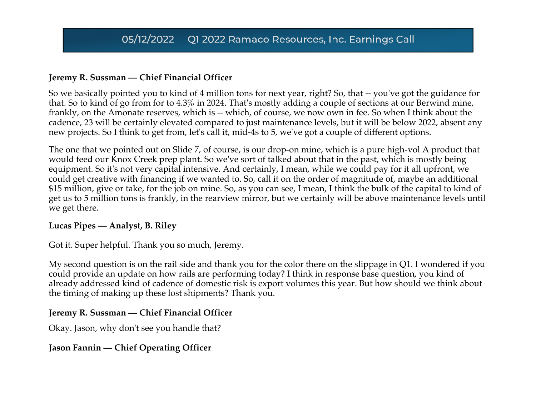#### **Jeremy R. Sussman — Chief Financial Officer**

So we basically pointed you to kind of 4 million tons for next year, right? So, that -- you've got the guidance for that. So to kind of go from for to 4.3% in 2024. That's mostly adding a couple of sections at our Berwind mine, frankly, on the Amonate reserves, which is -- which, of course, we now own in fee. So when I think about the cadence, 23 will be certainly elevated compared to just maintenance levels, but it will be below 2022, absent any new projects. So I think to get from, let's call it, mid-4s to 5, we've got a couple of different options.

The one that we pointed out on Slide 7, of course, is our drop-on mine, which is a pure high-vol A product that would feed our Knox Creek prep plant. So we've sort of talked about that in the past, which is mostly being equipment. So it's not very capital intensive. And certainly, I mean, while we could pay for it all upfront, we could get creative with financing if we wanted to. So, call it on the order of magnitude of, maybe an additional \$15 million, give or take, for the job on mine. So, as you can see, I mean, I think the bulk of the capital to kind of get us to 5 million tons is frankly, in the rearview mirror, but we certainly will be above maintenance levels until we get there.

#### **Lucas Pipes — Analyst, B. Riley**

Got it. Super helpful. Thank you so much, Jeremy.

My second question is on the rail side and thank you for the color there on the slippage in Q1. I wondered if you could provide an update on how rails are performing today? I think in response base question, you kind of already addressed kind of cadence of domestic risk is export volumes this year. But how should we think about the timing of making up these lost shipments? Thank you.

#### **Jeremy R. Sussman — Chief Financial Officer**

Okay. Jason, why don't see you handle that?

#### **Jason Fannin — Chief Operating Officer**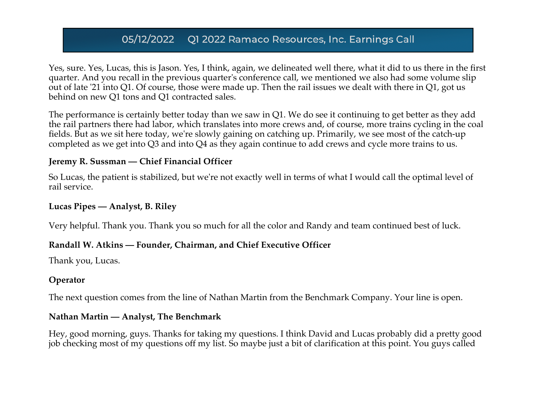Yes, sure. Yes, Lucas, this is Jason. Yes, I think, again, we delineated well there, what it did to us there in the first quarter. And you recall in the previous quarter's conference call, we mentioned we also had some volume slip out of late '21 into Q1. Of course, those were made up. Then the rail issues we dealt with there in Q1, got us behind on new Q1 tons and Q1 contracted sales.

The performance is certainly better today than we saw in Q1. We do see it continuing to get better as they add the rail partners there had labor, which translates into more crews and, of course, more trains cycling in the coal fields. But as we sit here today, we're slowly gaining on catching up. Primarily, we see most of the catch-up completed as we get into Q3 and into Q4 as they again continue to add crews and cycle more trains to us.

#### **Jeremy R. Sussman — Chief Financial Officer**

So Lucas, the patient is stabilized, but we're not exactly well in terms of what I would call the optimal level of rail service.

#### **Lucas Pipes — Analyst, B. Riley**

Very helpful. Thank you. Thank you so much for all the color and Randy and team continued best of luck.

#### **Randall W. Atkins — Founder, Chairman, and Chief Executive Officer**

Thank you, Lucas.

#### **Operator**

The next question comes from the line of Nathan Martin from the Benchmark Company. Your line is open.

#### **Nathan Martin — Analyst, The Benchmark**

Hey, good morning, guys. Thanks for taking my questions. I think David and Lucas probably did a pretty good job checking most of my questions off my list. So maybe just a bit of clarification at this point. You guys called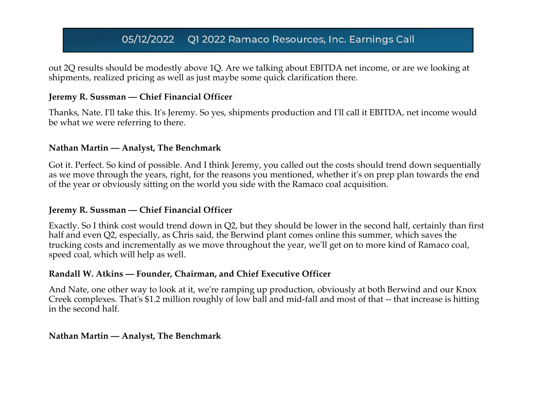out 2Q results should be modestly above 1Q. Are we talking about EBITDA net income, or are we looking at shipments, realized pricing as well as just maybe some quick clarification there.

#### **Jeremy R. Sussman — Chief Financial Officer**

Thanks, Nate. I'll take this. It's Jeremy. So yes, shipments production and I'll call it EBITDA, net income would be what we were referring to there.

#### **Nathan Martin — Analyst, The Benchmark**

Got it. Perfect. So kind of possible. And I think Jeremy, you called out the costs should trend down sequentially as we move through the years, right, for the reasons you mentioned, whether it's on prep plan towards the end of the year or obviously sitting on the world you side with the Ramaco coal acquisition.

#### **Jeremy R. Sussman — Chief Financial Officer**

Exactly. So I think cost would trend down in Q2, but they should be lower in the second half, certainly than first half and even Q2, especially, as Chris said, the Berwind plant comes online this summer, which saves the trucking costs and incrementally as we move throughout the year, we'll get on to more kind of Ramaco coal, speed coal, which will help as well.

#### **Randall W. Atkins — Founder, Chairman, and Chief Executive Officer**

And Nate, one other way to look at it, we're ramping up production, obviously at both Berwind and our Knox Creek complexes. That's \$1.2 million roughly of low ball and mid-fall and most of that -- that increase is hitting in the second half.

#### **Nathan Martin — Analyst, The Benchmark**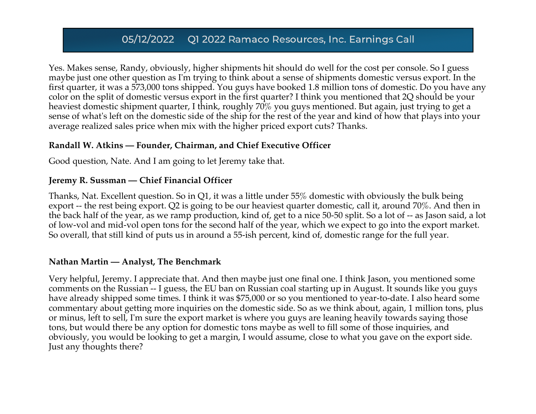Yes. Makes sense, Randy, obviously, higher shipments hit should do well for the cost per console. So I guess maybe just one other question as I'm trying to think about a sense of shipments domestic versus export. In the first quarter, it was a 573,000 tons shipped. You guys have booked 1.8 million tons of domestic. Do you have any color on the split of domestic versus export in the first quarter? I think you mentioned that 2Q should be your heaviest domestic shipment quarter, I think, roughly 70% you guys mentioned. But again, just trying to get a sense of what's left on the domestic side of the ship for the rest of the year and kind of how that plays into your average realized sales price when mix with the higher priced export cuts? Thanks.

#### **Randall W. Atkins — Founder, Chairman, and Chief Executive Officer**

Good question, Nate. And I am going to let Jeremy take that.

#### **Jeremy R. Sussman — Chief Financial Officer**

Thanks, Nat. Excellent question. So in Q1, it was a little under 55% domestic with obviously the bulk being export -- the rest being export. Q2 is going to be our heaviest quarter domestic, call it, around 70%. And then in the back half of the year, as we ramp production, kind of, get to a nice 50-50 split. So a lot of -- as Jason said, a lot of low-vol and mid-vol open tons for the second half of the year, which we expect to go into the export market. So overall, that still kind of puts us in around a 55-ish percent, kind of, domestic range for the full year.

#### **Nathan Martin — Analyst, The Benchmark**

Very helpful, Jeremy. I appreciate that. And then maybe just one final one. I think Jason, you mentioned some comments on the Russian -- I guess, the EU ban on Russian coal starting up in August. It sounds like you guys have already shipped some times. I think it was \$75,000 or so you mentioned to year-to-date. I also heard some commentary about getting more inquiries on the domestic side. So as we think about, again, 1 million tons, plus or minus, left to sell, I'm sure the export market is where you guys are leaning heavily towards saying those tons, but would there be any option for domestic tons maybe as well to fill some of those inquiries, and obviously, you would be looking to get a margin, I would assume, close to what you gave on the export side. Just any thoughts there?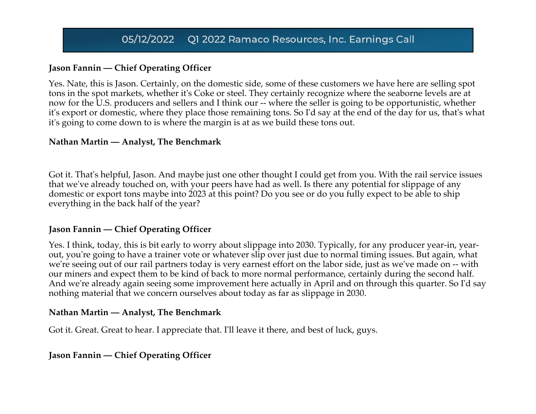### **Jason Fannin — Chief Operating Officer**

Yes. Nate, this is Jason. Certainly, on the domestic side, some of these customers we have here are selling spot tons in the spot markets, whether it's Coke or steel. They certainly recognize where the seaborne levels are at now for the U.S. producers and sellers and I think our -- where the seller is going to be opportunistic, whether it's export or domestic, where they place those remaining tons. So I'd say at the end of the day for us, that's what it's going to come down to is where the margin is at as we build these tons out.

#### **Nathan Martin — Analyst, The Benchmark**

Got it. That's helpful, Jason. And maybe just one other thought I could get from you. With the rail service issues that we've already touched on, with your peers have had as well. Is there any potential for slippage of any domestic or export tons maybe into 2023 at this point? Do you see or do you fully expect to be able to ship everything in the back half of the year?

#### **Jason Fannin — Chief Operating Officer**

Yes. I think, today, this is bit early to worry about slippage into 2030. Typically, for any producer year-in, yearout, you're going to have a trainer vote or whatever slip over just due to normal timing issues. But again, what we're seeing out of our rail partners today is very earnest effort on the labor side, just as we've made on -- with our miners and expect them to be kind of back to more normal performance, certainly during the second half. And we're already again seeing some improvement here actually in April and on through this quarter. So I'd say nothing material that we concern ourselves about today as far as slippage in 2030.

#### **Nathan Martin — Analyst, The Benchmark**

Got it. Great. Great to hear. I appreciate that. I'll leave it there, and best of luck, guys.

**Jason Fannin — Chief Operating Officer**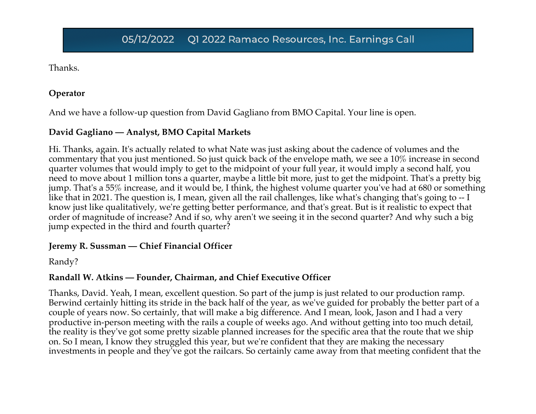Thanks.

#### **Operator**

And we have a follow-up question from David Gagliano from BMO Capital. Your line is open.

### **David Gagliano — Analyst, BMO Capital Markets**

Hi. Thanks, again. It's actually related to what Nate was just asking about the cadence of volumes and the commentary that you just mentioned. So just quick back of the envelope math, we see a 10% increase in second quarter volumes that would imply to get to the midpoint of your full year, it would imply a second half, you need to move about 1 million tons a quarter, maybe a little bit more, just to get the midpoint. That's a pretty big jump. That's a 55% increase, and it would be, I think, the highest volume quarter you've had at 680 or something like that in 2021. The question is, I mean, given all the rail challenges, like what's changing that's going to -- I know just like qualitatively, we're getting better performance, and that's great. But is it realistic to expect that order of magnitude of increase? And if so, why aren't we seeing it in the second quarter? And why such a big jump expected in the third and fourth quarter?

#### **Jeremy R. Sussman — Chief Financial Officer**

Randy?

## **Randall W. Atkins — Founder, Chairman, and Chief Executive Officer**

Thanks, David. Yeah, I mean, excellent question. So part of the jump is just related to our production ramp. Berwind certainly hitting its stride in the back half of the year, as we've guided for probably the better part of a couple of years now. So certainly, that will make a big difference. And I mean, look, Jason and I had a very productive in-person meeting with the rails a couple of weeks ago. And without getting into too much detail, the reality is they've got some pretty sizable planned increases for the specific area that the route that we ship on. So I mean, I know they struggled this year, but we're confident that they are making the necessary investments in people and they've got the railcars. So certainly came away from that meeting confident that the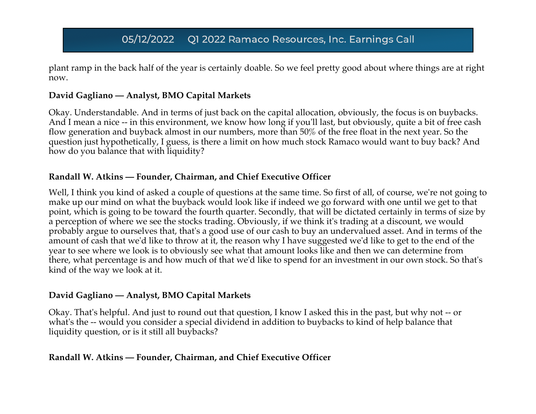plant ramp in the back half of the year is certainly doable. So we feel pretty good about where things are at right now.

#### **David Gagliano — Analyst, BMO Capital Markets**

Okay. Understandable. And in terms of just back on the capital allocation, obviously, the focus is on buybacks. And I mean a nice -- in this environment, we know how long if you'll last, but obviously, quite a bit of free cash flow generation and buyback almost in our numbers, more than 50% of the free float in the next year. So the question just hypothetically, I guess, is there a limit on how much stock Ramaco would want to buy back? And how do you balance that with liquidity?

#### **Randall W. Atkins — Founder, Chairman, and Chief Executive Officer**

Well, I think you kind of asked a couple of questions at the same time. So first of all, of course, we're not going to make up our mind on what the buyback would look like if indeed we go forward with one until we get to that point, which is going to be toward the fourth quarter. Secondly, that will be dictated certainly in terms of size by a perception of where we see the stocks trading. Obviously, if we think it's trading at a discount, we would probably argue to ourselves that, that's a good use of our cash to buy an undervalued asset. And in terms of the amount of cash that we'd like to throw at it, the reason why I have suggested we'd like to get to the end of the year to see where we look is to obviously see what that amount looks like and then we can determine from there, what percentage is and how much of that we'd like to spend for an investment in our own stock. So that's kind of the way we look at it.

#### **David Gagliano — Analyst, BMO Capital Markets**

Okay. That's helpful. And just to round out that question, I know I asked this in the past, but why not -- or what's the -- would you consider a special dividend in addition to buybacks to kind of help balance that liquidity question, or is it still all buybacks?

#### **Randall W. Atkins — Founder, Chairman, and Chief Executive Officer**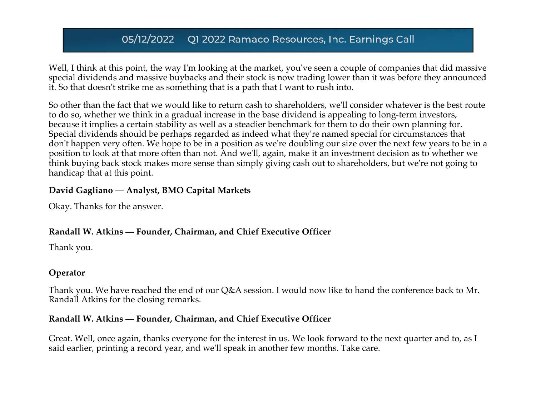Well, I think at this point, the way I'm looking at the market, you've seen a couple of companies that did massive special dividends and massive buybacks and their stock is now trading lower than it was before they announced it. So that doesn't strike me as something that is a path that I want to rush into.

So other than the fact that we would like to return cash to shareholders, we'll consider whatever is the best route to do so, whether we think in a gradual increase in the base dividend is appealing to long-term investors, because it implies a certain stability as well as a steadier benchmark for them to do their own planning for. Special dividends should be perhaps regarded as indeed what they're named special for circumstances that don't happen very often. We hope to be in a position as we're doubling our size over the next few years to be in a position to look at that more often than not. And we'll, again, make it an investment decision as to whether we think buying back stock makes more sense than simply giving cash out to shareholders, but we're not going to handicap that at this point.

#### **David Gagliano — Analyst, BMO Capital Markets**

Okay. Thanks for the answer.

### **Randall W. Atkins — Founder, Chairman, and Chief Executive Officer**

Thank you.

### **Operator**

Thank you. We have reached the end of our Q&A session. I would now like to hand the conference back to Mr. Randall Atkins for the closing remarks.

#### **Randall W. Atkins — Founder, Chairman, and Chief Executive Officer**

Great. Well, once again, thanks everyone for the interest in us. We look forward to the next quarter and to, as I said earlier, printing a record year, and we'll speak in another few months. Take care.